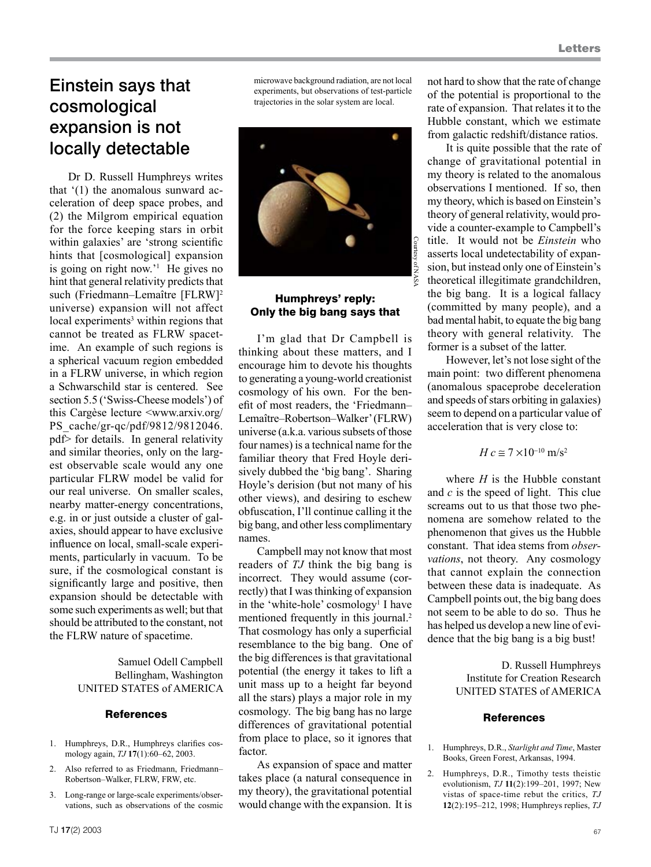## Einstein says that cosmological expansion is not locally detectable

Dr D. Russell Humphreys writes that '(1) the anomalous sunward acceleration of deep space probes, and (2) the Milgrom empirical equation for the force keeping stars in orbit within galaxies' are 'strong scientific hints that [cosmological] expansion is going on right now.'1 He gives no hint that general relativity predicts that such (Friedmann–Lemaître [FLRW]2 universe) expansion will not affect local experiments<sup>3</sup> within regions that cannot be treated as FLRW spacetime. An example of such regions is a spherical vacuum region embedded in a FLRW universe, in which region a Schwarschild star is centered. See section 5.5 ('Swiss-Cheese models') of this Cargèse lecture <www.arxiv.org/ PS\_cache/gr-qc/pdf/9812/9812046. pdf> for details. In general relativity and similar theories, only on the largest observable scale would any one particular FLRW model be valid for our real universe. On smaller scales, nearby matter-energy concentrations, e.g. in or just outside a cluster of galaxies, should appear to have exclusive influence on local, small-scale experiments, particularly in vacuum. To be sure, if the cosmological constant is significantly large and positive, then expansion should be detectable with some such experiments as well; but that should be attributed to the constant, not the FLRW nature of spacetime.

> Samuel Odell Campbell Bellingham, Washington UNITED STATES of AMERICA

#### **References**

- 1. Humphreys, D.R., Humphreys clarifies cosmology again, *TJ* **17**(1):60–62, 2003.
- 2. Also referred to as Friedmann, Friedmann– Robertson–Walker, FLRW, FRW, etc.
- 3. Long-range or large-scale experiments/observations, such as observations of the cosmic

microwave background radiation, are not local experiments, but observations of test-particle trajectories in the solar system are local.



### Humphreys' reply: Only the big bang says that

I'm glad that Dr Campbell is thinking about these matters, and I encourage him to devote his thoughts to generating a young-world creationist cosmology of his own. For the benefit of most readers, the 'Friedmann– Lemaître–Robertson–Walker' (FLRW) universe (a.k.a. various subsets of those four names) is a technical name for the familiar theory that Fred Hoyle derisively dubbed the 'big bang'. Sharing Hoyle's derision (but not many of his other views), and desiring to eschew obfuscation, I'll continue calling it the big bang, and other less complimentary names.

Campbell may not know that most readers of *TJ* think the big bang is incorrect. They would assume (correctly) that I was thinking of expansion in the 'white-hole' cosmology<sup>1</sup> I have mentioned frequently in this journal.<sup>2</sup> That cosmology has only a superficial resemblance to the big bang. One of the big differences is that gravitational potential (the energy it takes to lift a unit mass up to a height far beyond all the stars) plays a major role in my cosmology. The big bang has no large differences of gravitational potential from place to place, so it ignores that factor.

As expansion of space and matter takes place (a natural consequence in my theory), the gravitational potential would change with the expansion. It is

not hard to show that the rate of change of the potential is proportional to the rate of expansion. That relates it to the Hubble constant, which we estimate from galactic redshift/distance ratios.

It is quite possible that the rate of change of gravitational potential in my theory is related to the anomalous observations I mentioned. If so, then my theory, which is based on Einstein's theory of general relativity, would provide a counter-example to Campbell's title. It would not be *Einstein* who asserts local undetectability of expansion, but instead only one of Einstein's theoretical illegitimate grandchildren, the big bang. It is a logical fallacy (committed by many people), and a bad mental habit, to equate the big bang theory with general relativity. The former is a subset of the latter.

However, let's not lose sight of the main point: two different phenomena (anomalous spaceprobe deceleration and speeds of stars orbiting in galaxies) seem to depend on a particular value of acceleration that is very close to:

$$
H c \cong 7 \times 10^{-10} \text{ m/s}^2
$$

where *H* is the Hubble constant and *c* is the speed of light. This clue screams out to us that those two phenomena are somehow related to the phenomenon that gives us the Hubble constant. That idea stems from *observations*, not theory. Any cosmology that cannot explain the connection between these data is inadequate. As Campbell points out, the big bang does not seem to be able to do so. Thus he has helped us develop a new line of evidence that the big bang is a big bust!

> D. Russell Humphreys Institute for Creation Research UNITED STATES of AMERICA

#### References

- 1. Humphreys, D.R., *Starlight and Time*, Master Books, Green Forest, Arkansas, 1994.
- 2. Humphreys, D.R., Timothy tests theistic evolutionism, *TJ* **11**(2):199–201, 1997; New vistas of space-time rebut the critics, *TJ* **12**(2):195–212, 1998; Humphreys replies, *TJ*